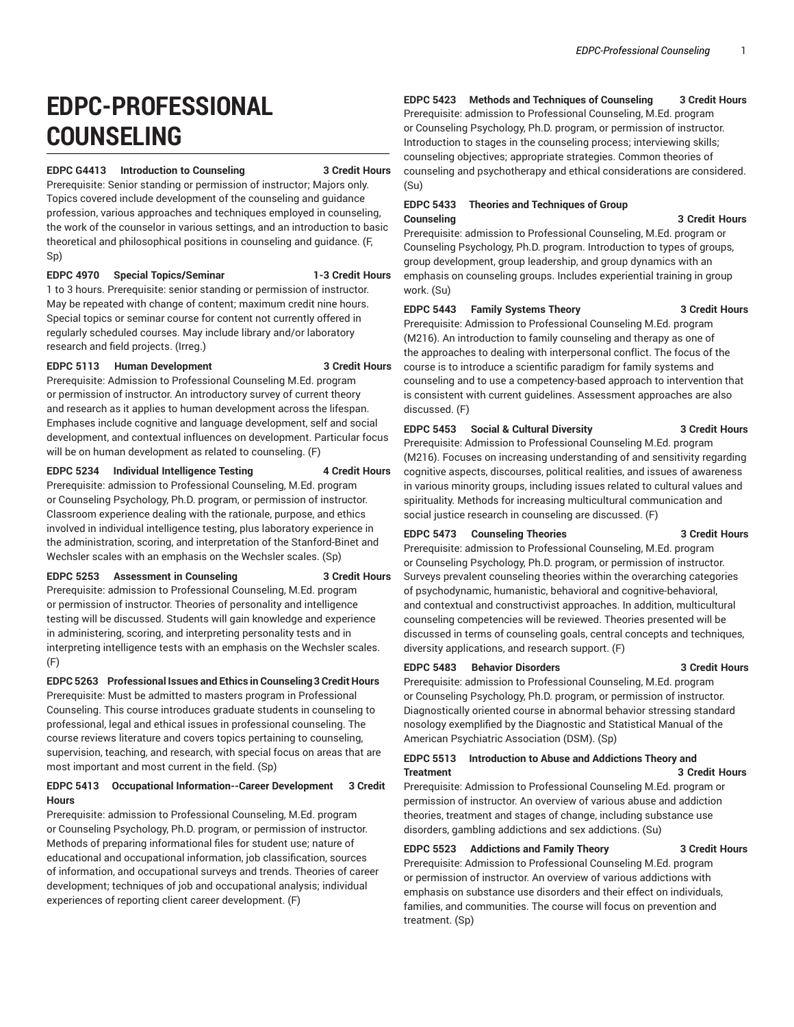# **EDPC-PROFESSIONAL COUNSELING**

#### **EDPC G4413 Introduction to Counseling 3 Credit Hours**

Prerequisite: Senior standing or permission of instructor; Majors only. Topics covered include development of the counseling and guidance profession, various approaches and techniques employed in counseling, the work of the counselor in various settings, and an introduction to basic theoretical and philosophical positions in counseling and guidance. (F, Sp)

#### **EDPC 4970 Special Topics/Seminar 1-3 Credit Hours**

1 to 3 hours. Prerequisite: senior standing or permission of instructor. May be repeated with change of content; maximum credit nine hours. Special topics or seminar course for content not currently offered in regularly scheduled courses. May include library and/or laboratory research and field projects. (Irreg.)

#### **EDPC 5113 Human Development 3 Credit Hours**

Prerequisite: Admission to Professional Counseling M.Ed. program or permission of instructor. An introductory survey of current theory and research as it applies to human development across the lifespan. Emphases include cognitive and language development, self and social development, and contextual influences on development. Particular focus will be on human development as related to counseling. (F)

#### **EDPC 5234 Individual Intelligence Testing 4 Credit Hours**

Prerequisite: admission to Professional Counseling, M.Ed. program or Counseling Psychology, Ph.D. program, or permission of instructor. Classroom experience dealing with the rationale, purpose, and ethics involved in individual intelligence testing, plus laboratory experience in the administration, scoring, and interpretation of the Stanford-Binet and Wechsler scales with an emphasis on the Wechsler scales. (Sp)

#### **EDPC 5253 Assessment in Counseling 3 Credit Hours**

Prerequisite: admission to Professional Counseling, M.Ed. program or permission of instructor. Theories of personality and intelligence testing will be discussed. Students will gain knowledge and experience in administering, scoring, and interpreting personality tests and in interpreting intelligence tests with an emphasis on the Wechsler scales. (F)

**EDPC 5263 Professional Issues and Ethics in Counseling3 Credit Hours** Prerequisite: Must be admitted to masters program in Professional Counseling. This course introduces graduate students in counseling to professional, legal and ethical issues in professional counseling. The course reviews literature and covers topics pertaining to counseling, supervision, teaching, and research, with special focus on areas that are most important and most current in the field. (Sp)

#### **EDPC 5413 Occupational Information--Career Development 3 Credit Hours**

Prerequisite: admission to Professional Counseling, M.Ed. program or Counseling Psychology, Ph.D. program, or permission of instructor. Methods of preparing informational files for student use; nature of educational and occupational information, job classification, sources of information, and occupational surveys and trends. Theories of career development; techniques of job and occupational analysis; individual experiences of reporting client career development. (F)

#### **EDPC 5423 Methods and Techniques of Counseling 3 Credit Hours**

Prerequisite: admission to Professional Counseling, M.Ed. program or Counseling Psychology, Ph.D. program, or permission of instructor. Introduction to stages in the counseling process; interviewing skills; counseling objectives; appropriate strategies. Common theories of counseling and psychotherapy and ethical considerations are considered. (Su)

#### **EDPC 5433 Theories and Techniques of Group Counseling 3 Credit Hours**

Prerequisite: admission to Professional Counseling, M.Ed. program or Counseling Psychology, Ph.D. program. Introduction to types of groups, group development, group leadership, and group dynamics with an emphasis on counseling groups. Includes experiential training in group work. (Su)

#### **EDPC 5443 Family Systems Theory 3 Credit Hours**

Prerequisite: Admission to Professional Counseling M.Ed. program (M216). An introduction to family counseling and therapy as one of the approaches to dealing with interpersonal conflict. The focus of the course is to introduce a scientific paradigm for family systems and counseling and to use a competency-based approach to intervention that is consistent with current guidelines. Assessment approaches are also discussed. (F)

## **EDPC 5453 Social & Cultural Diversity 3 Credit Hours**

Prerequisite: Admission to Professional Counseling M.Ed. program (M216). Focuses on increasing understanding of and sensitivity regarding cognitive aspects, discourses, political realities, and issues of awareness in various minority groups, including issues related to cultural values and spirituality. Methods for increasing multicultural communication and social justice research in counseling are discussed. (F)

#### **EDPC 5473 Counseling Theories 3 Credit Hours**

Prerequisite: admission to Professional Counseling, M.Ed. program or Counseling Psychology, Ph.D. program, or permission of instructor. Surveys prevalent counseling theories within the overarching categories of psychodynamic, humanistic, behavioral and cognitive-behavioral, and contextual and constructivist approaches. In addition, multicultural counseling competencies will be reviewed. Theories presented will be discussed in terms of counseling goals, central concepts and techniques, diversity applications, and research support. (F)

# **EDPC 5483 Behavior Disorders 3 Credit Hours**

Prerequisite: admission to Professional Counseling, M.Ed. program or Counseling Psychology, Ph.D. program, or permission of instructor. Diagnostically oriented course in abnormal behavior stressing standard nosology exemplified by the Diagnostic and Statistical Manual of the American Psychiatric Association (DSM). (Sp)

#### **EDPC 5513 Introduction to Abuse and Addictions Theory and Treatment 3 Credit Hours**

Prerequisite: Admission to Professional Counseling M.Ed. program or permission of instructor. An overview of various abuse and addiction theories, treatment and stages of change, including substance use disorders, gambling addictions and sex addictions. (Su)

#### **EDPC 5523 Addictions and Family Theory 3 Credit Hours**

Prerequisite: Admission to Professional Counseling M.Ed. program or permission of instructor. An overview of various addictions with emphasis on substance use disorders and their effect on individuals, families, and communities. The course will focus on prevention and treatment. (Sp)